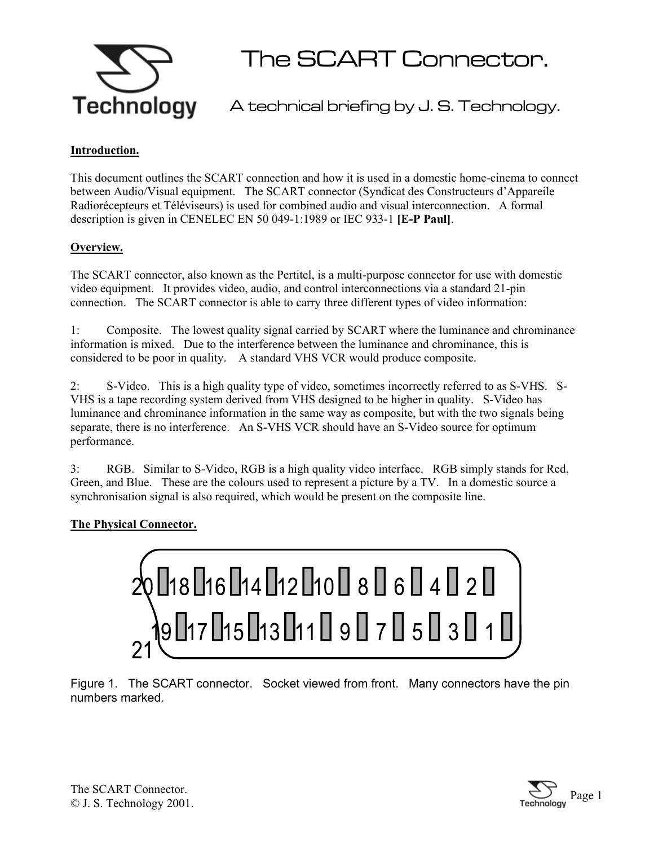

The SCART Connector.

A technical briefing by J. S. Technology.

## **Introduction.**

This document outlines the SCART connection and how it is used in a domestic home-cinema to connect between Audio/Visual equipment. The SCART connector (Syndicat des Constructeurs d'Appareile Radiorécepteurs et Téléviseurs) is used for combined audio and visual interconnection. A formal description is given in CENELEC EN 50 049-1:1989 or IEC 933-1 **[E-P Paul]**.

### **Overview.**

The SCART connector, also known as the Pertitel, is a multi-purpose connector for use with domestic video equipment. It provides video, audio, and control interconnections via a standard 21-pin connection. The SCART connector is able to carry three different types of video information:

1: Composite. The lowest quality signal carried by SCART where the luminance and chrominance information is mixed. Due to the interference between the luminance and chrominance, this is considered to be poor in quality. A standard VHS VCR would produce composite.

2: S-Video. This is a high quality type of video, sometimes incorrectly referred to as S-VHS. S-VHS is a tape recording system derived from VHS designed to be higher in quality. S-Video has luminance and chrominance information in the same way as composite, but with the two signals being separate, there is no interference. An S-VHS VCR should have an S-Video source for optimum performance.

3: RGB. Similar to S-Video, RGB is a high quality video interface. RGB simply stands for Red, Green, and Blue. These are the colours used to represent a picture by a TV. In a domestic source a synchronisation signal is also required, which would be present on the composite line.

# **The Physical Connector.**



Figure 1. The SCART connector. Socket viewed from front. Many connectors have the pin numbers marked.

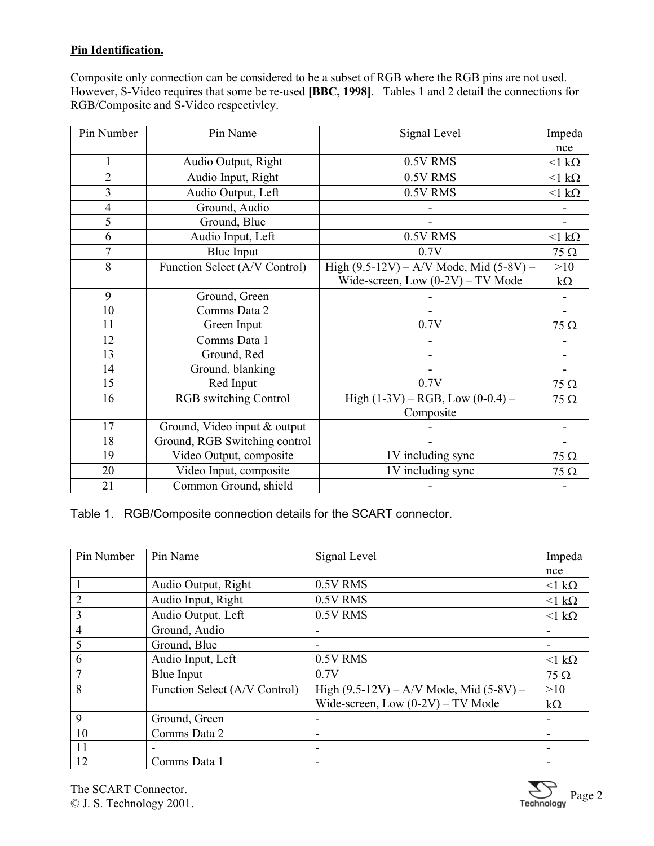# **Pin Identification.**

Composite only connection can be considered to be a subset of RGB where the RGB pins are not used. However, S-Video requires that some be re-used **[BBC, 1998]**. Tables 1 and 2 detail the connections for RGB/Composite and S-Video respectivley.

| Pin Number     | Pin Name                      | Signal Level                                | Impeda                       |
|----------------|-------------------------------|---------------------------------------------|------------------------------|
|                |                               |                                             | nce                          |
|                | Audio Output, Right           | 0.5V RMS                                    | $<$ 1 k $\Omega$             |
| $\overline{2}$ | Audio Input, Right            | 0.5V RMS                                    | $<$ 1 k $\Omega$             |
| 3              | Audio Output, Left            | 0.5V RMS                                    | $<$ 1 k $\Omega$             |
| 4              | Ground, Audio                 |                                             |                              |
| 5              | Ground, Blue                  |                                             |                              |
| 6              | Audio Input, Left             | 0.5V RMS                                    | $<$ 1 k $\Omega$             |
| 7              | <b>Blue Input</b>             | 0.7V                                        | 75 $\Omega$                  |
| 8              | Function Select (A/V Control) | High $(9.5-12V) - A/V$ Mode, Mid $(5-8V) -$ | >10                          |
|                |                               | Wide-screen, Low $(0-2V)$ – TV Mode         | $k\Omega$                    |
| 9              | Ground, Green                 |                                             |                              |
| 10             | Comms Data 2                  |                                             |                              |
| 11             | Green Input                   | 0.7V                                        | $75 \Omega$                  |
| 12             | Comms Data 1                  |                                             |                              |
| 13             | Ground, Red                   |                                             |                              |
| 14             | Ground, blanking              |                                             |                              |
| 15             | Red Input                     | 0.7V                                        | $75 \Omega$                  |
| 16             | <b>RGB</b> switching Control  | High $(1-3V)$ – RGB, Low $(0-0.4)$ –        | $75 \Omega$                  |
|                |                               | Composite                                   |                              |
| 17             | Ground, Video input & output  |                                             | $\overline{\phantom{a}}$     |
| 18             | Ground, RGB Switching control |                                             | $\qquad \qquad \blacksquare$ |
| 19             | Video Output, composite       | 1V including sync                           | $75 \Omega$                  |
| 20             | Video Input, composite        | 1V including sync                           | $75 \Omega$                  |
| 21             | Common Ground, shield         |                                             |                              |

Table 1. RGB/Composite connection details for the SCART connector.

| Pin Number     | Pin Name                      | Signal Level                                | Impeda      |
|----------------|-------------------------------|---------------------------------------------|-------------|
|                |                               |                                             | nce         |
|                | Audio Output, Right           | 0.5V RMS                                    | $1 k\Omega$ |
| $\overline{2}$ | Audio Input, Right            | 0.5V RMS                                    | $1 k\Omega$ |
| 3              | Audio Output, Left            | 0.5V RMS                                    | $1 k\Omega$ |
| $\overline{4}$ | Ground, Audio                 |                                             |             |
| 5              | Ground, Blue                  |                                             |             |
| 6              | Audio Input, Left             | 0.5V RMS                                    | $1 k\Omega$ |
|                | Blue Input                    | 0.7V                                        | $75 \Omega$ |
| 8              | Function Select (A/V Control) | High $(9.5-12V) - A/V$ Mode, Mid $(5-8V) -$ | >10         |
|                |                               | Wide-screen, Low $(0-2V)$ – TV Mode         | $k\Omega$   |
| 9              | Ground, Green                 |                                             |             |
| 10             | Comms Data 2                  |                                             |             |
| 11             |                               |                                             |             |
| 12             | Comms Data 1                  |                                             |             |

The SCART Connector. The SCART Connector.<br>  $\bigotimes$  J. S. Technology 2001.